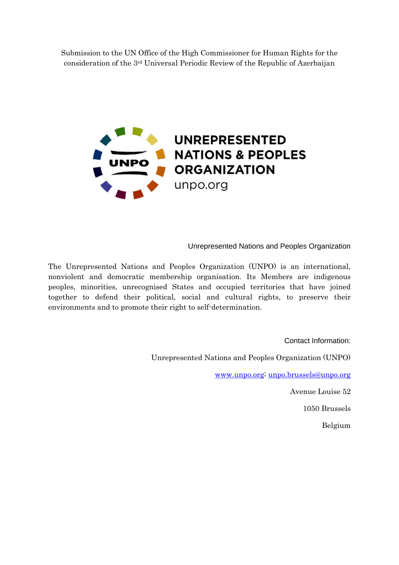Submission to the UN Office of the High Commissioner for Human Rights for the consideration of the 3rd Universal Periodic Review of the Republic of Azerbaijan



Unrepresented Nations and Peoples Organization

The Unrepresented Nations and Peoples Organization (UNPO) is an international, nonviolent and democratic membership organisation. Its Members are indigenous peoples, minorities, unrecognised States and occupied territories that have joined together to defend their political, social and cultural rights, to preserve their environments and to promote their right to self-determination.

> Contact Information: Unrepresented Nations and Peoples Organization (UNPO) [www.unpo.org;](http://www.unpo.org/) [unpo.brussels@unpo.org](mailto:unpo.brussels@unpo.org) Avenue Louise 52

> > 1050 Brussels

Belgium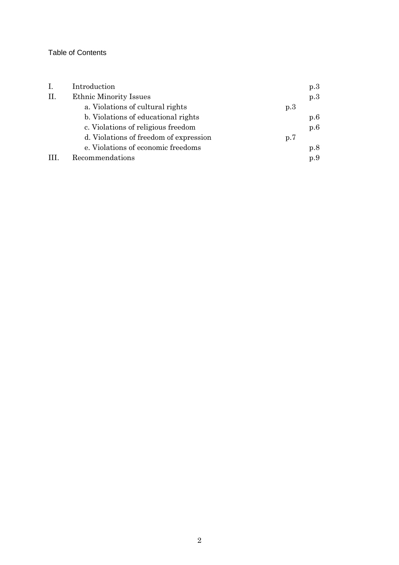## Table of Contents

| Ι.  | Introduction                           |     | p.3 |
|-----|----------------------------------------|-----|-----|
| II. | <b>Ethnic Minority Issues</b>          |     | p.3 |
|     | a. Violations of cultural rights       | p.3 |     |
|     | b. Violations of educational rights    |     | p.6 |
|     | c. Violations of religious freedom     |     | p.6 |
|     | d. Violations of freedom of expression | p.7 |     |
|     | e. Violations of economic freedoms     |     | p.8 |
|     | Recommendations                        |     | p.9 |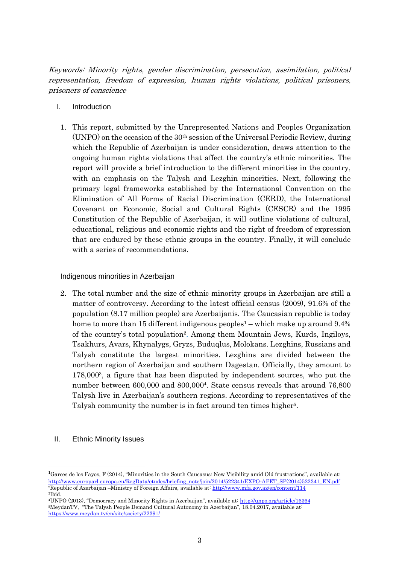Keywords: Minority rights, gender discrimination, persecution, assimilation, political representation, freedom of expression, human rights violations, political prisoners, prisoners of conscience

- I. Introduction
	- 1. This report, submitted by the Unrepresented Nations and Peoples Organization (UNPO) on the occasion of the  $30<sup>th</sup>$  session of the Universal Periodic Review, during which the Republic of Azerbaijan is under consideration, draws attention to the ongoing human rights violations that affect the country's ethnic minorities. The report will provide a brief introduction to the different minorities in the country, with an emphasis on the Talysh and Lezghin minorities. Next, following the primary legal frameworks established by the International Convention on the Elimination of All Forms of Racial Discrimination (CERD), the International Covenant on Economic, Social and Cultural Rights (CESCR) and the 1995 Constitution of the Republic of Azerbaijan, it will outline violations of cultural, educational, religious and economic rights and the right of freedom of expression that are endured by these ethnic groups in the country. Finally, it will conclude with a series of recommendations.

## Indigenous minorities in Azerbaijan

- 2. The total number and the size of ethnic minority groups in Azerbaijan are still a matter of controversy. According to the latest official census (2009), 91.6% of the population (8.17 million people) are Azerbaijanis. The Caucasian republic is today home to more than 15 different indigenous peoples<sup>1</sup> – which make up around  $9.4\%$ of the country's total population<sup>2</sup> . Among them Mountain Jews, Kurds, Ingiloys, Tsakhurs, Avars, Khynalygs, Gryzs, Buduqlus, Molokans. Lezghins, Russians and Talysh constitute the largest minorities. Lezghins are divided between the northern region of Azerbaijan and southern Dagestan. Officially, they amount to 178,000<sup>3</sup> , a figure that has been disputed by independent sources, who put the number between 600,000 and 800,000<sup>4</sup> . State census reveals that around 76,800 Talysh live in Azerbaijan's southern regions. According to representatives of the Talysh community the number is in fact around ten times higher<sup>5</sup>.
- II. Ethnic Minority Issues

**.** 

<sup>&</sup>lt;sup>1</sup>Garces de los Fayos, F (2014), "Minorities in the South Caucasus: New Visibility amid Old frustrations", available at: [http://www.europarl.europa.eu/RegData/etudes/briefing\\_note/join/2014/522341/EXPO-AFET\\_SP\(2014\)522341\\_EN.pdf](http://www.europarl.europa.eu/RegData/etudes/briefing_note/join/2014/522341/EXPO-AFET_SP(2014)522341_EN.pdf) <sup>2</sup>Republic of Azerbaijan –Ministry of Foreign Affairs, available at: <http://www.mfa.gov.az/en/content/114> <sup>3</sup>Ibid.

<sup>4</sup>UNPO (2013), "Democracy and Minority Rights in Azerbaijan", available at: <http://unpo.org/article/16364> <sup>5</sup>MeydanTV, "The Talysh People Demand Cultural Autonomy in Azerbaijan", 18.04.2017, available at: <https://www.meydan.tv/en/site/society/22391/>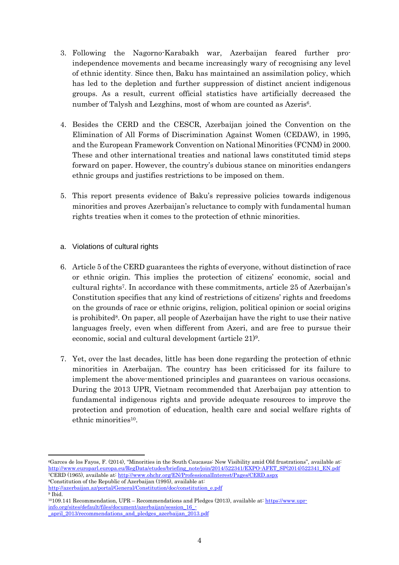- 3. Following the Nagorno-Karabakh war, Azerbaijan feared further proindependence movements and became increasingly wary of recognising any level of ethnic identity. Since then, Baku has maintained an assimilation policy, which has led to the depletion and further suppression of distinct ancient indigenous groups. As a result, current official statistics have artificially decreased the number of Talysh and Lezghins, most of whom are counted as Azeris<sup>6</sup>.
- 4. Besides the CERD and the CESCR, Azerbaijan joined the Convention on the Elimination of All Forms of Discrimination Against Women (CEDAW), in 1995, and the European Framework Convention on National Minorities (FCNM) in 2000. These and other international treaties and national laws constituted timid steps forward on paper. However, the country's dubious stance on minorities endangers ethnic groups and justifies restrictions to be imposed on them.
- 5. This report presents evidence of Baku's repressive policies towards indigenous minorities and proves Azerbaijan's reluctance to comply with fundamental human rights treaties when it comes to the protection of ethnic minorities.
- a. Violations of cultural rights
- 6. Article 5 of the CERD guarantees the rights of everyone, without distinction of race or ethnic origin. This implies the protection of citizens' economic, social and cultural rights<sup>7</sup> . In accordance with these commitments, article 25 of Azerbaijan's Constitution specifies that any kind of restrictions of citizens' rights and freedoms on the grounds of race or ethnic origins, religion, political opinion or social origins is prohibited<sup>8</sup>. On paper, all people of Azerbaijan have the right to use their native languages freely, even when different from Azeri, and are free to pursue their economic, social and cultural development (article 21)<sup>9</sup> .
- 7. Yet, over the last decades, little has been done regarding the protection of ethnic minorities in Azerbaijan. The country has been criticissed for its failure to implement the above-mentioned principles and guarantees on various occasions. During the 2013 UPR, Vietnam recommended that Azerbaijan pay attention to fundamental indigenous rights and provide adequate resources to improve the protection and promotion of education, health care and social welfare rights of ethnic minorities<sup>10</sup>.

<sup>8</sup>Constitution of the Republic of Azerbaijan (1995), available at: [http://azerbaijan.az/portal/General/Constitution/doc/constitution\\_e.pdf](http://azerbaijan.az/portal/General/Constitution/doc/constitution_e.pdf) <sup>9</sup> Ibid.

**<sup>.</sup>** <sup>6</sup>Garces de los Fayos, F. (2014), "Minorities in the South Caucasus: New Visibility amid Old frustrations", available at: [http://www.europarl.europa.eu/RegData/etudes/briefing\\_note/join/2014/522341/EXPO-AFET\\_SP\(2014\)522341\\_EN.pdf](http://www.europarl.europa.eu/RegData/etudes/briefing_note/join/2014/522341/EXPO-AFET_SP(2014)522341_EN.pdf) <sup>7</sup>CERD (1965), available at: <http://www.ohchr.org/EN/ProfessionalInterest/Pages/CERD.aspx>

<sup>10</sup>109.141 Recommendation, UPR – Recommendations and Pledges (2013), available at: [https://www.upr](https://www.upr-info.org/sites/default/files/document/azerbaijan/session_16_-_april_2013/recommendations_and_pledges_azerbaijan_2013.pdf)[info.org/sites/default/files/document/azerbaijan/session\\_16\\_-](https://www.upr-info.org/sites/default/files/document/azerbaijan/session_16_-_april_2013/recommendations_and_pledges_azerbaijan_2013.pdf) [\\_april\\_2013/recommendations\\_and\\_pledges\\_azerbaijan\\_2013.pdf](https://www.upr-info.org/sites/default/files/document/azerbaijan/session_16_-_april_2013/recommendations_and_pledges_azerbaijan_2013.pdf)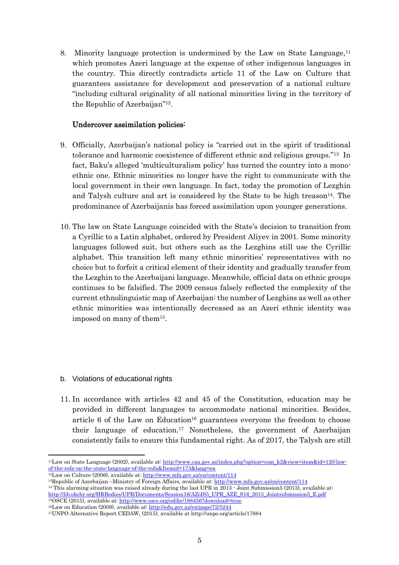8. Minority language protection is undermined by the Law on State Language,<sup>11</sup> which promotes Azeri language at the expense of other indigenous languages in the country. This directly contradicts article 11 of the Law on Culture that guarantees assistance for development and preservation of a national culture "including cultural originality of all national minorities living in the territory of the Republic of Azerbaijan"<sup>12</sup> .

## Undercover assimilation policies:

- 9. Officially, Azerbaijan's national policy is "carried out in the spirit of traditional tolerance and harmonic coexistence of different ethnic and religious groups."<sup>13</sup> In fact, Baku's alleged 'multiculturalism policy' has turned the country into a monoethnic one. Ethnic minorities no longer have the right to communicate with the local government in their own language. In fact, today the promotion of Lezghin and Talysh culture and art is considered by the State to be high treason<sup>14</sup>. The predominance of Azerbaijanis has forced assimilation upon younger generations.
- 10. The law on State Language coincided with the State's decision to transition from a Cyrillic to a Latin alphabet, ordered by President Aliyev in 2001. Some minority languages followed suit, but others such as the Lezghins still use the Cyrillic alphabet. This transition left many ethnic minorities' representatives with no choice but to forfeit a critical element of their identity and gradually transfer from the Lezghin to the Azerbaijani language. Meanwhile, official data on ethnic groups continues to be falsified. The 2009 census falsely reflected the complexity of the current ethnolinguistic map of Azerbaijan: the number of Lezghins as well as other ethnic minorities was intentionally decreased as an Azeri ethnic identity was imposed on many of them<sup>15</sup> .
- b. Violations of educational rights
- 11. In accordance with articles 42 and 45 of the Constitution, education may be provided in different languages to accommodate national minorities. Besides, article  $6$  of the Law on Education<sup>16</sup> guarantees everyone the freedom to choose their language of education.<sup>17</sup> Nonetheless, the government of Azerbaijan consistently fails to ensure this fundamental right. As of 2017, the Talysh are still

<sup>16</sup>Law on Education (2009), available at: <http://edu.gov.az/en/page/72/5244>

**<sup>.</sup>** <sup>11</sup>Law on State Language (2002), available at: [http://www.caa.gov.az/index.php?option=com\\_k2&view=item&id=120:law](http://www.caa.gov.az/index.php?option=com_k2&view=item&id=120:law-of-the-rofa-on-the-state-language-of-the-rofa&Itemid=173&lang=en)[of-the-rofa-on-the-state-language-of-the-rofa&Itemid=173&lang=en](http://www.caa.gov.az/index.php?option=com_k2&view=item&id=120:law-of-the-rofa-on-the-state-language-of-the-rofa&Itemid=173&lang=en)

<sup>&</sup>lt;sup>12</sup>Law on Culture (2006), available at: <http://www.mfa.gov.az/en/content/114>

<sup>13</sup>Republic of Azerbaijan –Ministry of Foreign Affairs, available at: <http://www.mfa.gov.az/en/content/114>

<sup>&</sup>lt;sup>14</sup> This alarming situation was raised already during the last UPR in 2013 - Joint Submission5 (2013), available at: [http://lib.ohchr.org/HRBodies/UPR/Documents/Session16/AZ/JS5\\_UPR\\_AZE\\_S16\\_2013\\_Jointsubmission5\\_E.pdf](http://lib.ohchr.org/HRBodies/UPR/Documents/Session16/AZ/JS5_UPR_AZE_S16_2013_Jointsubmission5_E.pdf) <sup>15</sup>OSCE (2015), available at: <http://www.osce.org/odihr/188456?download=true>

<sup>17</sup>UNPO Alternative Report CEDAW, (2015), available at http://unpo.org/article/17884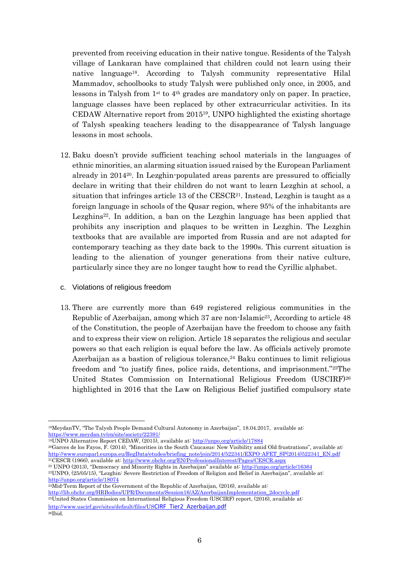prevented from receiving education in their native tongue. Residents of the Talysh village of Lankaran have complained that children could not learn using their native language18. According to Talysh community representative Hilal Mammadov, schoolbooks to study Talysh were published only once, in 2005, and lessons in Talysh from 1st to 4th grades are mandatory only on paper. In practice, language classes have been replaced by other extracurricular activities. In its CEDAW Alternative report from  $2015^{19}$ , UNPO highlighted the existing shortage of Talysh speaking teachers leading to the disappearance of Talysh language lessons in most schools.

- 12. Baku doesn't provide sufficient teaching school materials in the languages of ethnic minorities, an alarming situation issued raised by the European Parliament already in 201420. In Lezghin-populated areas parents are pressured to officially declare in writing that their children do not want to learn Lezghin at school, a situation that infringes article  $13$  of the CESCR<sup>21</sup>. Instead, Lezghin is taught as a foreign language in schools of the Qusar region, where 95% of the inhabitants are Lezghins<sup>22</sup>. In addition, a ban on the Lezghin language has been applied that prohibits any inscription and plaques to be written in Lezghin. The Lezghin textbooks that are available are imported from Russia and are not adapted for contemporary teaching as they date back to the 1990s. This current situation is leading to the alienation of younger generations from their native culture, particularly since they are no longer taught how to read the Cyrillic alphabet.
- c. Violations of religious freedom
- 13. There are currently more than 649 registered religious communities in the Republic of Azerbaijan, among which 37 are non-Islamic<sup>23</sup>. According to article 48 of the Constitution, the people of Azerbaijan have the freedom to choose any faith and to express their view on religion. Article 18 separates the religious and secular powers so that each religion is equal before the law. As officials actively promote Azerbaijan as a bastion of religious tolerance, $24$  Baku continues to limit religious freedom and "to justify fines, police raids, detentions, and imprisonment."25The United States Commission on International Religious Freedom (USCIRF)<sup>26</sup> highlighted in 2016 that the Law on Religious Belief justified compulsory state

UNPO Alternative Report CEDAW, (2015), available at: <http://unpo.org/article/17884> Garces de los Fayos, F. (2014), "Minorities in the South Caucasus: New Visibility amid Old frustrations", available at: [http://www.europarl.europa.eu/RegData/etudes/briefing\\_note/join/2014/522341/EXPO-AFET\\_SP\(2014\)522341\\_EN.pdf](http://www.europarl.europa.eu/RegData/etudes/briefing_note/join/2014/522341/EXPO-AFET_SP(2014)522341_EN.pdf) CESCR (1966), available at: <http://www.ohchr.org/EN/ProfessionalInterest/Pages/CESCR.aspx>

```
http://unpo.org/article/18074
<sup>24</sup>Mid-Term Report of the Government of the Republic of Azerbaijan, (2016), available at:
```

```
http://lib.ohchr.org/HRBodies/UPR/Documents/Session16/AZ/AzerbaijanImplementation_2docycle.pdf
```
<sup>25</sup>United States Commission on International Religious Freedom (USCIRF) report, (2016), available at: [http://www.uscirf.gov/sites/default/files/US](http://www.uscirf.gov/sites/default/files/USCIRF_Tier2_Azerbaijan.pdf)CIRF\_Tier2\_Azerbaijan.pdf 26Ibid.

 $\overline{a}$ <sup>18</sup>MeydanTV, "The Talysh People Demand Cultural Autonomy in Azerbaijan", 18.04.2017, available at: <https://www.meydan.tv/en/site/society/22391/>

<sup>22</sup> UNPO (2013), "Democracy and Minority Rights in Azerbaijan" available at: <http://unpo.org/article/16364> <sup>23</sup>UNPO, (25/05/15), "Lezghin: Severe Restriction of Freedom of Religion and Belief in Azerbaijan", available at: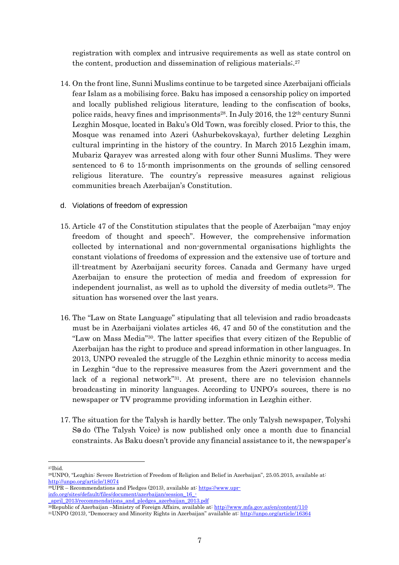registration with complex and intrusive requirements as well as state control on the content, production and dissemination of religious materials.<sup>27</sup>

- 14. On the front line, Sunni Muslims continue to be targeted since Azerbaijani officials fear Islam as a mobilising force. Baku has imposed a censorship policy on imported and locally published religious literature, leading to the confiscation of books, police raids, heavy fines and imprisonments<sup>28</sup>. In July 2016, the  $12<sup>th</sup>$  century Sunni Lezghin Mosque, located in Baku's Old Town, was forcibly closed. Prior to this, the Mosque was renamed into Azeri (Ashurbekovskaya), further deleting Lezghin cultural imprinting in the history of the country. In March 2015 Lezghin imam, Mubariz Qarayev was arrested along with four other Sunni Muslims. They were sentenced to 6 to 15-month imprisonments on the grounds of selling censored religious literature. The country's repressive measures against religious communities breach Azerbaijan's Constitution.
- d. Violations of freedom of expression
- 15. Article 47 of the Constitution stipulates that the people of Azerbaijan "may enjoy freedom of thought and speech". However, the comprehensive information collected by international and non-governmental organisations highlights the constant violations of freedoms of expression and the extensive use of torture and ill-treatment by Azerbaijani security forces. Canada and Germany have urged Azerbaijan to ensure the protection of media and freedom of expression for independent journalist, as well as to uphold the diversity of media outlets<sup>29</sup>. The situation has worsened over the last years.
- 16. The "Law on State Language" stipulating that all television and radio broadcasts must be in Azerbaijani violates articles 46, 47 and 50 of the constitution and the "Law on Mass Media"30. The latter specifies that every citizen of the Republic of Azerbaijan has the right to produce and spread information in other languages. In 2013, UNPO revealed the struggle of the Lezghin ethnic minority to access media in Lezghin "due to the repressive measures from the Azeri government and the lack of a regional network"<sup>31</sup> . At present, there are no television channels broadcasting in minority languages. According to UNPO's sources, there is no newspaper or TV programme providing information in Lezghin either.
- 17. The situation for the Talysh is hardly better. The only Talysh newspaper, Tolyshi Sə do (The Talysh Voice) is now published only once a month due to financial constraints. As Baku doesn't provide any financial assistance to it, the newspaper's

 $\overline{a}$ <sup>27</sup>Ibid.

<sup>28</sup>UNPO, "Lezghin: Severe Restriction of Freedom of Religion and Belief in Azerbaijan", 25.05.2015, available at: <http://unpo.org/article/18074>

 $29UPR - Recommendations$  and Pledges (2013), available at: [https://www.upr](https://www.upr-info.org/sites/default/files/document/azerbaijan/session_16_-_april_2013/recommendations_and_pledges_azerbaijan_2013.pdf)[info.org/sites/default/files/document/azerbaijan/session\\_16\\_-](https://www.upr-info.org/sites/default/files/document/azerbaijan/session_16_-_april_2013/recommendations_and_pledges_azerbaijan_2013.pdf)

[\\_april\\_2013/recommendations\\_and\\_pledges\\_azerbaijan\\_2013.pdf](https://www.upr-info.org/sites/default/files/document/azerbaijan/session_16_-_april_2013/recommendations_and_pledges_azerbaijan_2013.pdf)

<sup>&</sup>lt;sup>30</sup>Republic of Azerbaijan –Ministry of Foreign Affairs, available at: <http://www.mfa.gov.az/en/content/110>

<sup>31</sup>UNPO (2013), "Democracy and Minority Rights in Azerbaijan" available at: <http://unpo.org/article/16364>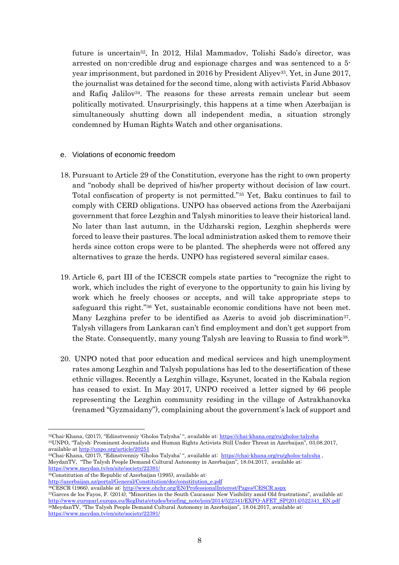future is uncertain<sup>32</sup>. In 2012, Hilal Mammadov, Tolishi Sado's director, was arrested on non-credible drug and espionage charges and was sentenced to a 5 year imprisonment, but pardoned in 2016 by President Aliyev<sup>33</sup>. Yet, in June 2017, the journalist was detained for the second time, along with activists Farid Abbasov and Rafiq Jalilov<sup>34</sup>. The reasons for these arrests remain unclear but seem politically motivated. Unsurprisingly, this happens at a time when Azerbaijan is simultaneously shutting down all independent media, a situation strongly condemned by Human Rights Watch and other organisations.

- e. Violations of economic freedom
- 18. Pursuant to Article 29 of the Constitution, everyone has the right to own property and "nobody shall be deprived of his/her property without decision of law court. Total confiscation of property is not permitted."<sup>35</sup> Yet, Baku continues to fail to comply with CERD obligations. UNPO has observed actions from the Azerbaijani government that force Lezghin and Talysh minorities to leave their historical land. No later than last autumn, in the Udzharski region, Lezghin shepherds were forced to leave their pastures. The local administration asked them to remove their herds since cotton crops were to be planted. The shepherds were not offered any alternatives to graze the herds. UNPO has registered several similar cases.
- 19. Article 6, part III of the ICESCR compels state parties to "recognize the right to work, which includes the right of everyone to the opportunity to gain his living by work which he freely chooses or accepts, and will take appropriate steps to safeguard this right."<sup>36</sup> Yet, sustainable economic conditions have not been met. Many Lezghins prefer to be identified as Azeris to avoid job discrimination<sup>37</sup>. Talysh villagers from Lankaran can't find employment and don't get support from the State. Consequently, many young Talysh are leaving to Russia to find work<sup>38</sup>.
- 20. UNPO noted that poor education and medical services and high unemployment rates among Lezghin and Talysh populations has led to the desertification of these ethnic villages. Recently a Lezghin village, Ksyunet, located in the Kabala region has ceased to exist. In May 2017, UNPO received a letter signed by 66 people representing the Lezghin community residing in the village of Astrakhanovka (renamed "Gyzmaidany"), complaining about the government's lack of support and

 $35$ Constitution of the Republic of Azerbaijan (1995), available at:

1

[http://azerbaijan.az/portal/General/Constitution/doc/constitution\\_e.pdf](http://azerbaijan.az/portal/General/Constitution/doc/constitution_e.pdf) <sup>36</sup>CESCR (1966), available at: <http://www.ohchr.org/EN/ProfessionalInterest/Pages/CESCR.aspx>

<sup>32</sup>Chai-Khana, (2017), "Edinstvenniy 'Gholos Talysha' ", available at: <https://chai-khana.org/ru/gholos-talysha> <sup>33</sup>UNPO, "Talysh: Prominent Journalists and Human Rights Activists Still Under Threat in Azerbaijan", 03.08.2017, available at <http://unpo.org/article/20251>

<sup>34</sup>Chai-Khana, (2017), "Edinstvenniy 'Gholos Talysha' ", available at: <https://chai-khana.org/ru/gholos-talysha> , MeydanTV, "The Talysh People Demand Cultural Autonomy in Azerbaijan", 18.04.2017, available at: <https://www.meydan.tv/en/site/society/22391/>

<sup>&</sup>lt;sup>37</sup>Garces de los Fayos, F. (2014), "Minorities in the South Caucasus: New Visibility amid Old frustrations", available at: [http://www.europarl.europa.eu/RegData/etudes/briefing\\_note/join/2014/522341/EXPO-AFET\\_SP\(2014\)522341\\_EN.pdf](http://www.europarl.europa.eu/RegData/etudes/briefing_note/join/2014/522341/EXPO-AFET_SP(2014)522341_EN.pdf) <sup>38</sup>MeydanTV, "The Talysh People Demand Cultural Autonomy in Azerbaijan", 18.04.2017, available at: <https://www.meydan.tv/en/site/society/22391/>